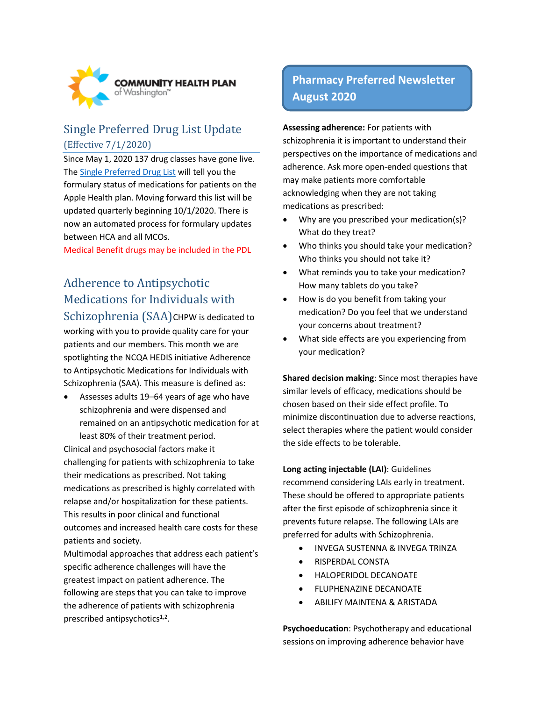

### Single Preferred Drug List Update (Effective 7/1/2020)

Since May 1, 2020 137 drug classes have gone live. The [Single Preferred Drug List](https://www.hca.wa.gov/billers-providers-partners/programs-and-services/apple-health-preferred-drug-list-pdl) will tell you the formulary status of medications for patients on the Apple Health plan. Moving forward this list will be updated quarterly beginning 10/1/2020. There is now an automated process for formulary updates between HCA and all MCOs.

Medical Benefit drugs may be included in the PDL

# Adherence to Antipsychotic Medications for Individuals with

Schizophrenia (SAA) CHPW is dedicated to working with you to provide quality care for your patients and our members. This month we are spotlighting the NCQA HEDIS initiative Adherence to Antipsychotic Medications for Individuals with Schizophrenia (SAA). This measure is defined as:

 Assesses adults 19–64 years of age who have schizophrenia and were dispensed and remained on an antipsychotic medication for at least 80% of their treatment period.

Clinical and psychosocial factors make it challenging for patients with schizophrenia to take their medications as prescribed. Not taking medications as prescribed is highly correlated with relapse and/or hospitalization for these patients. This results in poor clinical and functional outcomes and increased health care costs for these patients and society.

Multimodal approaches that address each patient's specific adherence challenges will have the greatest impact on patient adherence. The following are steps that you can take to improve the adherence of patients with schizophrenia prescribed antipsychotics<sup>1,2</sup>.

## **Pharmacy Preferred Newsletter August 2020**

**Assessing adherence:** For patients with schizophrenia it is important to understand their perspectives on the importance of medications and adherence. Ask more open-ended questions that may make patients more comfortable acknowledging when they are not taking medications as prescribed:

- Why are you prescribed your medication(s)? What do they treat?
- Who thinks you should take your medication? Who thinks you should not take it?
- What reminds you to take your medication? How many tablets do you take?
- How is do you benefit from taking your medication? Do you feel that we understand your concerns about treatment?
- What side effects are you experiencing from your medication?

**Shared decision making**: Since most therapies have similar levels of efficacy, medications should be chosen based on their side effect profile. To minimize discontinuation due to adverse reactions, select therapies where the patient would consider the side effects to be tolerable.

**Long acting injectable (LAI)**: Guidelines recommend considering LAIs early in treatment. These should be offered to appropriate patients after the first episode of schizophrenia since it prevents future relapse. The following LAIs are preferred for adults with Schizophrenia.

- **INVEGA SUSTENNA & INVEGA TRINZA**
- **RISPERDAL CONSTA**
- HALOPERIDOL DECANOATE
- FLUPHENAZINE DECANOATE
- ABILIFY MAINTENA & ARISTADA

**Psychoeducation**: Psychotherapy and educational sessions on improving adherence behavior have